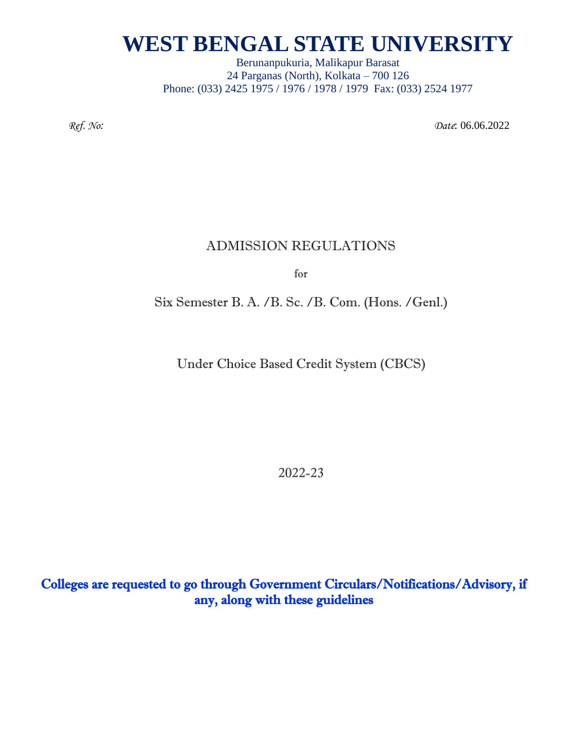Berunanpukuria, Malikapur Barasat 24 Parganas (North), Kolkata – 700 126 Phone: (033) 2425 1975 / 1976 / 1978 / 1979 Fax: (033) 2524 1977

*Ref. No: Date*: 06.06.2022

### ADMISSION REGULATIONS

for

Six Semester B. A. /B. Sc. /B. Com. (Hons. /Genl.)

Under Choice Based Credit System (CBCS)

2022-23

Colleges are requested to go through Government Circulars/Notifications/Advisory, if any, along with these guidelines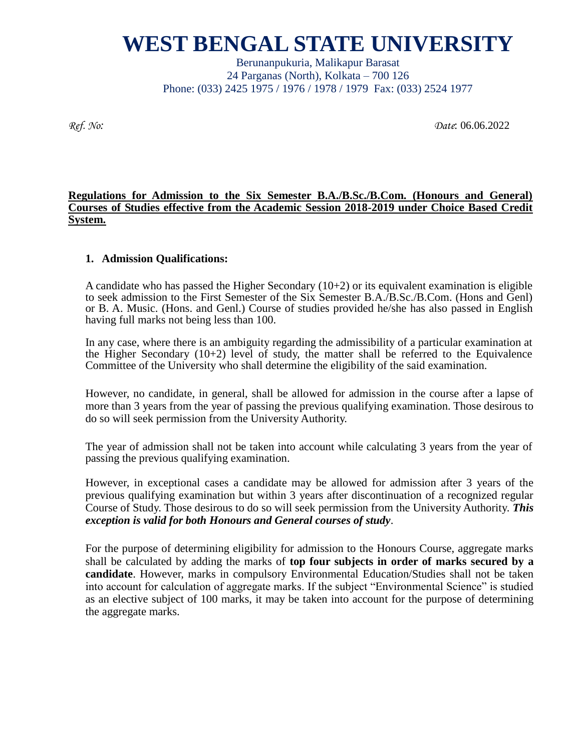Berunanpukuria, Malikapur Barasat 24 Parganas (North), Kolkata – 700 126 Phone: (033) 2425 1975 / 1976 / 1978 / 1979 Fax: (033) 2524 1977

*Ref. No: Date*: 06.06.2022

#### **Regulations for Admission to the Six Semester B.A./B.Sc./B.Com. (Honours and General) Courses of Studies effective from the Academic Session 2018-2019 under Choice Based Credit System.**

#### **1. Admission Qualifications:**

A candidate who has passed the Higher Secondary  $(10+2)$  or its equivalent examination is eligible to seek admission to the First Semester of the Six Semester B.A./B.Sc./B.Com. (Hons and Genl) or B. A. Music. (Hons. and Genl.) Course of studies provided he/she has also passed in English having full marks not being less than 100.

In any case, where there is an ambiguity regarding the admissibility of a particular examination at the Higher Secondary (10+2) level of study, the matter shall be referred to the Equivalence Committee of the University who shall determine the eligibility of the said examination.

However, no candidate, in general, shall be allowed for admission in the course after a lapse of more than 3 years from the year of passing the previous qualifying examination. Those desirous to do so will seek permission from the University Authority.

The year of admission shall not be taken into account while calculating 3 years from the year of passing the previous qualifying examination.

However, in exceptional cases a candidate may be allowed for admission after 3 years of the previous qualifying examination but within 3 years after discontinuation of a recognized regular Course of Study. Those desirous to do so will seek permission from the University Authority. *This exception is valid for both Honours and General courses of study*.

For the purpose of determining eligibility for admission to the Honours Course, aggregate marks shall be calculated by adding the marks of **top four subjects in order of marks secured by a candidate**. However, marks in compulsory Environmental Education/Studies shall not be taken into account for calculation of aggregate marks. If the subject "Environmental Science" is studied as an elective subject of 100 marks, it may be taken into account for the purpose of determining the aggregate marks.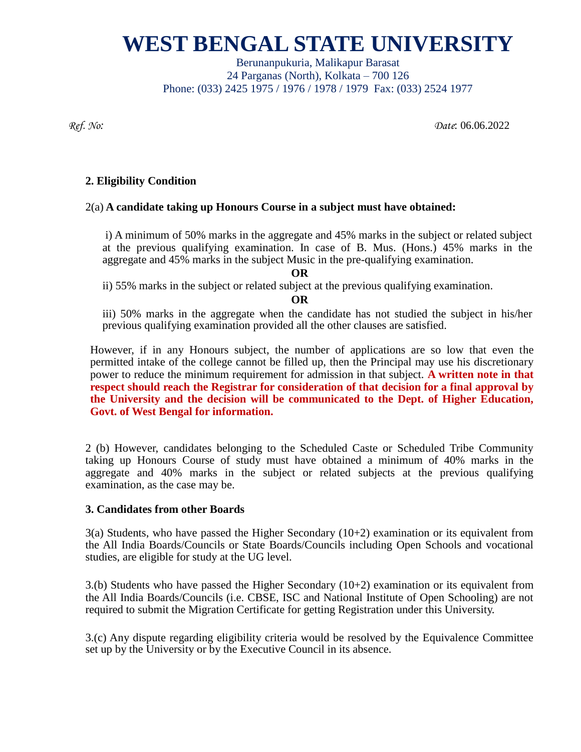Berunanpukuria, Malikapur Barasat 24 Parganas (North), Kolkata – 700 126 Phone: (033) 2425 1975 / 1976 / 1978 / 1979 Fax: (033) 2524 1977

*Ref. No: Date*: 06.06.2022

### **2. Eligibility Condition**

#### 2(a) **A candidate taking up Honours Course in a subject must have obtained:**

i) A minimum of 50% marks in the aggregate and 45% marks in the subject or related subject at the previous qualifying examination. In case of B. Mus. (Hons.) 45% marks in the aggregate and 45% marks in the subject Music in the pre-qualifying examination.

**OR**

ii) 55% marks in the subject or related subject at the previous qualifying examination.

**OR**

iii) 50% marks in the aggregate when the candidate has not studied the subject in his/her previous qualifying examination provided all the other clauses are satisfied.

However, if in any Honours subject, the number of applications are so low that even the permitted intake of the college cannot be filled up, then the Principal may use his discretionary power to reduce the minimum requirement for admission in that subject. **A written note in that respect should reach the Registrar for consideration of that decision for a final approval by the University and the decision will be communicated to the Dept. of Higher Education, Govt. of West Bengal for information.** 

2 (b) However, candidates belonging to the Scheduled Caste or Scheduled Tribe Community taking up Honours Course of study must have obtained a minimum of 40% marks in the aggregate and 40% marks in the subject or related subjects at the previous qualifying examination, as the case may be.

#### **3. Candidates from other Boards**

 $3(a)$  Students, who have passed the Higher Secondary (10+2) examination or its equivalent from the All India Boards/Councils or State Boards/Councils including Open Schools and vocational studies, are eligible for study at the UG level.

3.(b) Students who have passed the Higher Secondary  $(10+2)$  examination or its equivalent from the All India Boards/Councils (i.e. CBSE, ISC and National Institute of Open Schooling) are not required to submit the Migration Certificate for getting Registration under this University.

3.(c) Any dispute regarding eligibility criteria would be resolved by the Equivalence Committee set up by the University or by the Executive Council in its absence.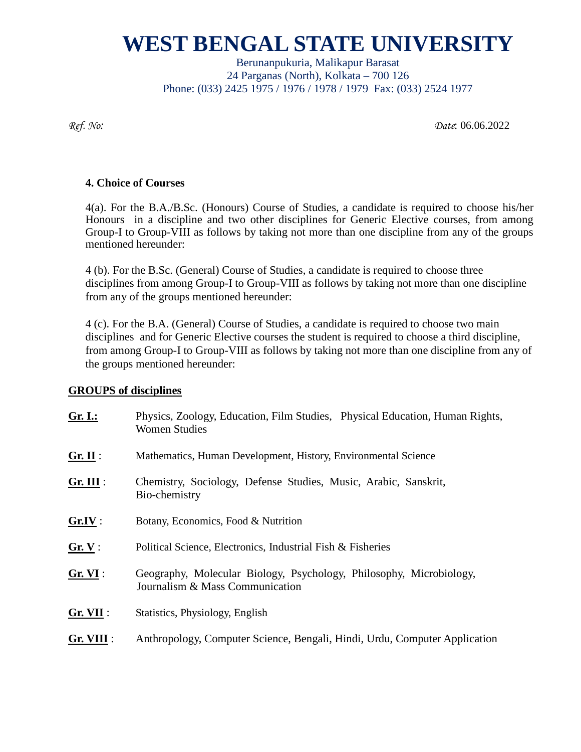Berunanpukuria, Malikapur Barasat 24 Parganas (North), Kolkata – 700 126 Phone: (033) 2425 1975 / 1976 / 1978 / 1979 Fax: (033) 2524 1977

*Ref. No: Date*: 06.06.2022

#### **4. Choice of Courses**

4(a). For the B.A./B.Sc. (Honours) Course of Studies, a candidate is required to choose his/her Honours in a discipline and two other disciplines for Generic Elective courses, from among Group-I to Group-VIII as follows by taking not more than one discipline from any of the groups mentioned hereunder:

4 (b). For the B.Sc. (General) Course of Studies, a candidate is required to choose three disciplines from among Group-I to Group-VIII as follows by taking not more than one discipline from any of the groups mentioned hereunder:

4 (c). For the B.A. (General) Course of Studies, a candidate is required to choose two main disciplines and for Generic Elective courses the student is required to choose a third discipline, from among Group-I to Group-VIII as follows by taking not more than one discipline from any of the groups mentioned hereunder:

### **GROUPS of disciplines**

| Gr. I.:     | Physics, Zoology, Education, Film Studies, Physical Education, Human Rights,<br><b>Women Studies</b>   |  |  |  |  |  |
|-------------|--------------------------------------------------------------------------------------------------------|--|--|--|--|--|
| Gr. II:     | Mathematics, Human Development, History, Environmental Science                                         |  |  |  |  |  |
| $Gr. III$ : | Chemistry, Sociology, Defense Studies, Music, Arabic, Sanskrit,<br>Bio-chemistry                       |  |  |  |  |  |
| Gr.IV:      | Botany, Economics, Food & Nutrition                                                                    |  |  |  |  |  |
| Gr. V:      | Political Science, Electronics, Industrial Fish & Fisheries                                            |  |  |  |  |  |
| Gr. VI:     | Geography, Molecular Biology, Psychology, Philosophy, Microbiology,<br>Journalism & Mass Communication |  |  |  |  |  |
| $Gr. VII$ : | Statistics, Physiology, English                                                                        |  |  |  |  |  |
| Gr. VIII :  | Anthropology, Computer Science, Bengali, Hindi, Urdu, Computer Application                             |  |  |  |  |  |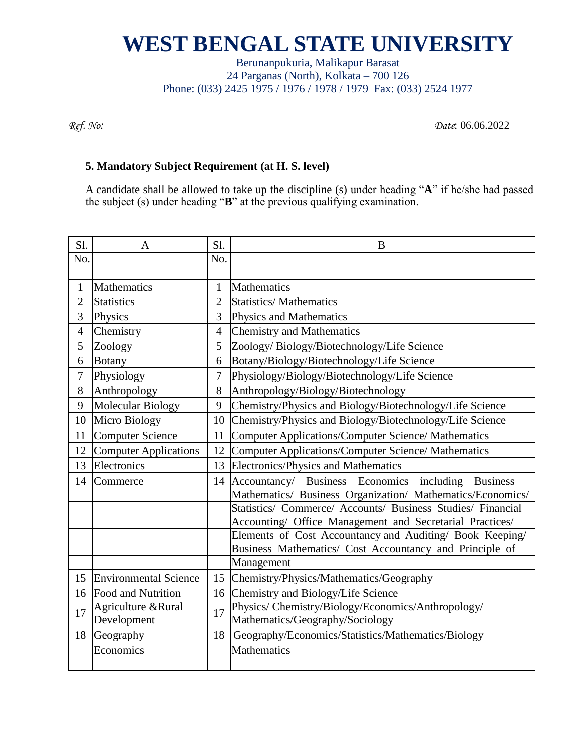Berunanpukuria, Malikapur Barasat 24 Parganas (North), Kolkata – 700 126 Phone: (033) 2425 1975 / 1976 / 1978 / 1979 Fax: (033) 2524 1977

*Ref. No: Date*: 06.06.2022

#### **5. Mandatory Subject Requirement (at H. S. level)**

A candidate shall be allowed to take up the discipline (s) under heading "**A**" if he/she had passed the subject (s) under heading "**B**" at the previous qualifying examination.

| Sl.            | A                                 | Sl.            | B                                                                                     |
|----------------|-----------------------------------|----------------|---------------------------------------------------------------------------------------|
| No.            |                                   | No.            |                                                                                       |
|                |                                   |                |                                                                                       |
| $\mathbf{1}$   | Mathematics                       | $\mathbf{1}$   | Mathematics                                                                           |
| $\overline{2}$ | <b>Statistics</b>                 | $\overline{2}$ | <b>Statistics/Mathematics</b>                                                         |
| 3              | Physics                           | 3              | Physics and Mathematics                                                               |
| $\overline{4}$ | Chemistry                         | $\overline{4}$ | <b>Chemistry and Mathematics</b>                                                      |
| 5              | Zoology                           | 5              | Zoology/Biology/Biotechnology/Life Science                                            |
| 6              | Botany                            | 6              | Botany/Biology/Biotechnology/Life Science                                             |
| $\overline{7}$ | Physiology                        | 7              | Physiology/Biology/Biotechnology/Life Science                                         |
| 8              | Anthropology                      | 8              | Anthropology/Biology/Biotechnology                                                    |
| 9              | Molecular Biology                 | 9              | Chemistry/Physics and Biology/Biotechnology/Life Science                              |
| 10             | Micro Biology                     | 10             | Chemistry/Physics and Biology/Biotechnology/Life Science                              |
| 11             | <b>Computer Science</b>           | 11             | <b>Computer Applications/Computer Science/ Mathematics</b>                            |
| 12             | <b>Computer Applications</b>      | 12             | <b>Computer Applications/Computer Science/ Mathematics</b>                            |
| 13             | Electronics                       | 13             | Electronics/Physics and Mathematics                                                   |
| 14             | Commerce                          | 14             | Accountancy/ Business Economics including<br><b>Business</b>                          |
|                |                                   |                | Mathematics/ Business Organization/ Mathematics/Economics/                            |
|                |                                   |                | Statistics/ Commerce/ Accounts/ Business Studies/ Financial                           |
|                |                                   |                | Accounting/ Office Management and Secretarial Practices/                              |
|                |                                   |                | Elements of Cost Accountancy and Auditing/ Book Keeping/                              |
|                |                                   |                | Business Mathematics/ Cost Accountancy and Principle of                               |
|                |                                   |                | Management                                                                            |
| 15             | <b>Environmental Science</b>      | 15             | Chemistry/Physics/Mathematics/Geography                                               |
| 16             | <b>Food and Nutrition</b>         | 16             | Chemistry and Biology/Life Science                                                    |
| 17             | Agriculture &Rural<br>Development | 17             | Physics/ Chemistry/Biology/Economics/Anthropology/<br>Mathematics/Geography/Sociology |
| 18             | Geography                         | 18             | Geography/Economics/Statistics/Mathematics/Biology                                    |
|                | Economics                         |                | Mathematics                                                                           |
|                |                                   |                |                                                                                       |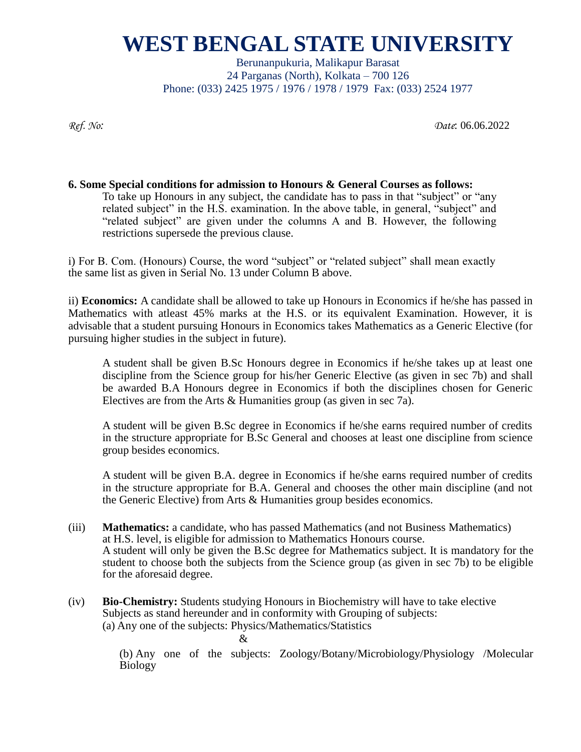Berunanpukuria, Malikapur Barasat 24 Parganas (North), Kolkata – 700 126 Phone: (033) 2425 1975 / 1976 / 1978 / 1979 Fax: (033) 2524 1977

*Ref. No: Date*: 06.06.2022

#### **6. Some Special conditions for admission to Honours & General Courses as follows:**

To take up Honours in any subject, the candidate has to pass in that "subject" or "any related subject" in the H.S. examination. In the above table, in general, "subject" and "related subject" are given under the columns A and B. However, the following restrictions supersede the previous clause.

i) For B. Com. (Honours) Course, the word "subject" or "related subject" shall mean exactly the same list as given in Serial No. 13 under Column B above.

ii) **Economics:** A candidate shall be allowed to take up Honours in Economics if he/she has passed in Mathematics with atleast 45% marks at the H.S. or its equivalent Examination. However, it is advisable that a student pursuing Honours in Economics takes Mathematics as a Generic Elective (for pursuing higher studies in the subject in future).

A student shall be given B.Sc Honours degree in Economics if he/she takes up at least one discipline from the Science group for his/her Generic Elective (as given in sec 7b) and shall be awarded B.A Honours degree in Economics if both the disciplines chosen for Generic Electives are from the Arts & Humanities group (as given in sec 7a).

A student will be given B.Sc degree in Economics if he/she earns required number of credits in the structure appropriate for B.Sc General and chooses at least one discipline from science group besides economics.

A student will be given B.A. degree in Economics if he/she earns required number of credits in the structure appropriate for B.A. General and chooses the other main discipline (and not the Generic Elective) from Arts & Humanities group besides economics.

- (iii) **Mathematics:** a candidate, who has passed Mathematics (and not Business Mathematics) at H.S. level, is eligible for admission to Mathematics Honours course. A student will only be given the B.Sc degree for Mathematics subject. It is mandatory for the student to choose both the subjects from the Science group (as given in sec 7b) to be eligible for the aforesaid degree.
- (iv) **Bio-Chemistry:** Students studying Honours in Biochemistry will have to take elective Subjects as stand hereunder and in conformity with Grouping of subjects: (a) Any one of the subjects: Physics/Mathematics/Statistics

&

(b) Any one of the subjects: Zoology/Botany/Microbiology/Physiology /Molecular Biology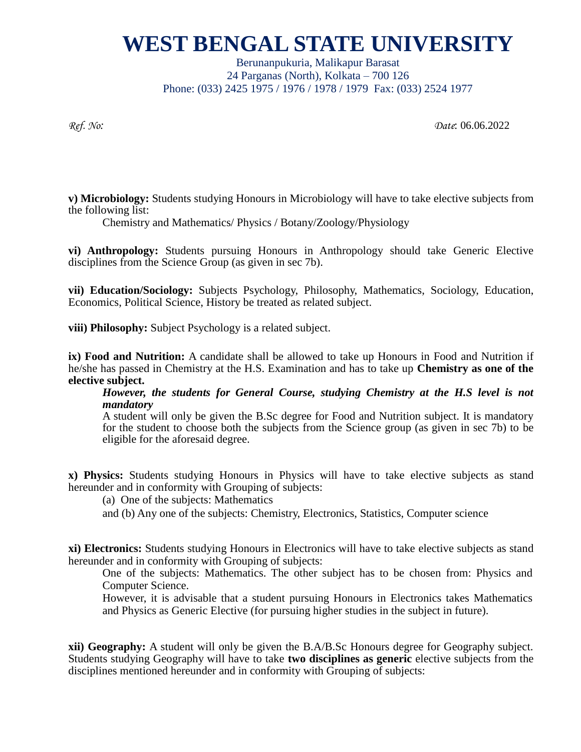Berunanpukuria, Malikapur Barasat 24 Parganas (North), Kolkata – 700 126 Phone: (033) 2425 1975 / 1976 / 1978 / 1979 Fax: (033) 2524 1977

*Ref. No: Date*: 06.06.2022

**v) Microbiology:** Students studying Honours in Microbiology will have to take elective subjects from the following list:

Chemistry and Mathematics/ Physics / Botany/Zoology/Physiology

**vi) Anthropology:** Students pursuing Honours in Anthropology should take Generic Elective disciplines from the Science Group (as given in sec 7b).

**vii) Education/Sociology:** Subjects Psychology, Philosophy, Mathematics, Sociology, Education, Economics, Political Science, History be treated as related subject.

**viii) Philosophy:** Subject Psychology is a related subject.

**ix) Food and Nutrition:** A candidate shall be allowed to take up Honours in Food and Nutrition if he/she has passed in Chemistry at the H.S. Examination and has to take up **Chemistry as one of the elective subject.**

*However, the students for General Course, studying Chemistry at the H.S level is not mandatory*

A student will only be given the B.Sc degree for Food and Nutrition subject. It is mandatory for the student to choose both the subjects from the Science group (as given in sec 7b) to be eligible for the aforesaid degree.

**x) Physics:** Students studying Honours in Physics will have to take elective subjects as stand hereunder and in conformity with Grouping of subjects:

(a) One of the subjects: Mathematics

and (b) Any one of the subjects: Chemistry, Electronics, Statistics, Computer science

**xi) Electronics:** Students studying Honours in Electronics will have to take elective subjects as stand hereunder and in conformity with Grouping of subjects:

One of the subjects: Mathematics. The other subject has to be chosen from: Physics and Computer Science.

However, it is advisable that a student pursuing Honours in Electronics takes Mathematics and Physics as Generic Elective (for pursuing higher studies in the subject in future).

**xii) Geography:** A student will only be given the B.A/B.Sc Honours degree for Geography subject. Students studying Geography will have to take **two disciplines as generic** elective subjects from the disciplines mentioned hereunder and in conformity with Grouping of subjects: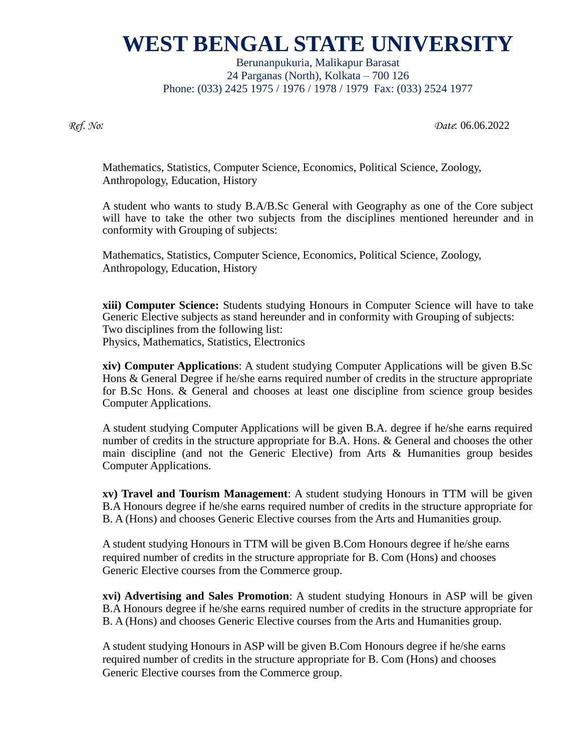Berunanpukuria, Malikapur Barasat 24 Parganas (North), Kolkata – 700 126 Phone: (033) 2425 1975 / 1976 / 1978 / 1979 Fax: (033) 2524 1977

*Ref. No: Date*: 06.06.2022

Mathematics, Statistics, Computer Science, Economics, Political Science, Zoology, Anthropology, Education, History

A student who wants to study B.A/B.Sc General with Geography as one of the Core subject will have to take the other two subjects from the disciplines mentioned hereunder and in conformity with Grouping of subjects:

Mathematics, Statistics, Computer Science, Economics, Political Science, Zoology, Anthropology, Education, History

**xiii) Computer Science:** Students studying Honours in Computer Science will have to take Generic Elective subjects as stand hereunder and in conformity with Grouping of subjects: Two disciplines from the following list: Physics, Mathematics, Statistics, Electronics

**xiv) Computer Applications**: A student studying Computer Applications will be given B.Sc Hons & General Degree if he/she earns required number of credits in the structure appropriate for B.Sc Hons. & General and chooses at least one discipline from science group besides Computer Applications.

A student studying Computer Applications will be given B.A. degree if he/she earns required number of credits in the structure appropriate for B.A. Hons. & General and chooses the other main discipline (and not the Generic Elective) from Arts & Humanities group besides Computer Applications.

**xv) Travel and Tourism Management**: A student studying Honours in TTM will be given B.A Honours degree if he/she earns required number of credits in the structure appropriate for B. A (Hons) and chooses Generic Elective courses from the Arts and Humanities group.

A student studying Honours in TTM will be given B.Com Honours degree if he/she earns required number of credits in the structure appropriate for B. Com (Hons) and chooses Generic Elective courses from the Commerce group.

**xvi) Advertising and Sales Promotion**: A student studying Honours in ASP will be given B.A Honours degree if he/she earns required number of credits in the structure appropriate for B. A (Hons) and chooses Generic Elective courses from the Arts and Humanities group.

A student studying Honours in ASP will be given B.Com Honours degree if he/she earns required number of credits in the structure appropriate for B. Com (Hons) and chooses Generic Elective courses from the Commerce group.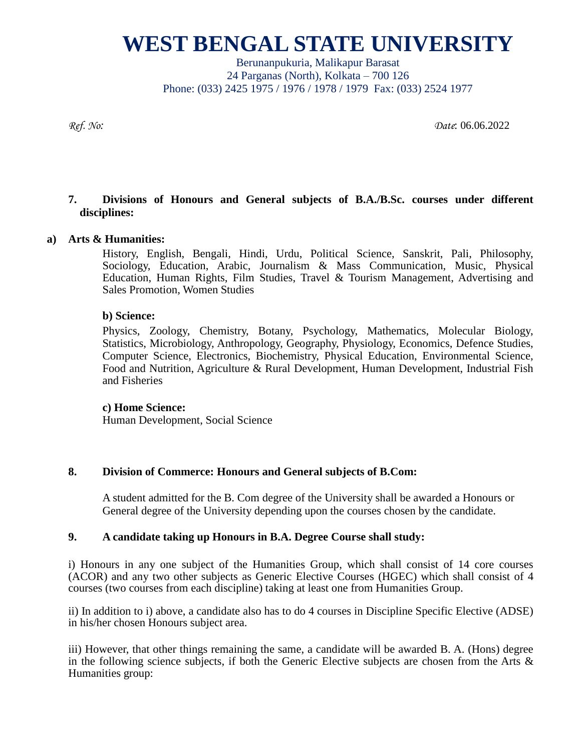Berunanpukuria, Malikapur Barasat 24 Parganas (North), Kolkata – 700 126 Phone: (033) 2425 1975 / 1976 / 1978 / 1979 Fax: (033) 2524 1977

*Ref. No: Date*: 06.06.2022

#### **7. Divisions of Honours and General subjects of B.A./B.Sc. courses under different disciplines:**

#### **a) Arts & Humanities:**

History, English, Bengali, Hindi, Urdu, Political Science, Sanskrit, Pali, Philosophy, Sociology, Education, Arabic, Journalism & Mass Communication, Music, Physical Education, Human Rights, Film Studies, Travel & Tourism Management, Advertising and Sales Promotion, Women Studies

#### **b) Science:**

Physics, Zoology, Chemistry, Botany, Psychology, Mathematics, Molecular Biology, Statistics, Microbiology, Anthropology, Geography, Physiology, Economics, Defence Studies, Computer Science, Electronics, Biochemistry, Physical Education, Environmental Science, Food and Nutrition, Agriculture & Rural Development, Human Development, Industrial Fish and Fisheries

#### **c) Home Science:**

Human Development, Social Science

#### **8. Division of Commerce: Honours and General subjects of B.Com:**

A student admitted for the B. Com degree of the University shall be awarded a Honours or General degree of the University depending upon the courses chosen by the candidate.

#### **9. A candidate taking up Honours in B.A. Degree Course shall study:**

i) Honours in any one subject of the Humanities Group, which shall consist of 14 core courses (ACOR) and any two other subjects as Generic Elective Courses (HGEC) which shall consist of 4 courses (two courses from each discipline) taking at least one from Humanities Group.

ii) In addition to i) above, a candidate also has to do 4 courses in Discipline Specific Elective (ADSE) in his/her chosen Honours subject area.

iii) However, that other things remaining the same, a candidate will be awarded B. A. (Hons) degree in the following science subjects, if both the Generic Elective subjects are chosen from the Arts  $\&$ Humanities group: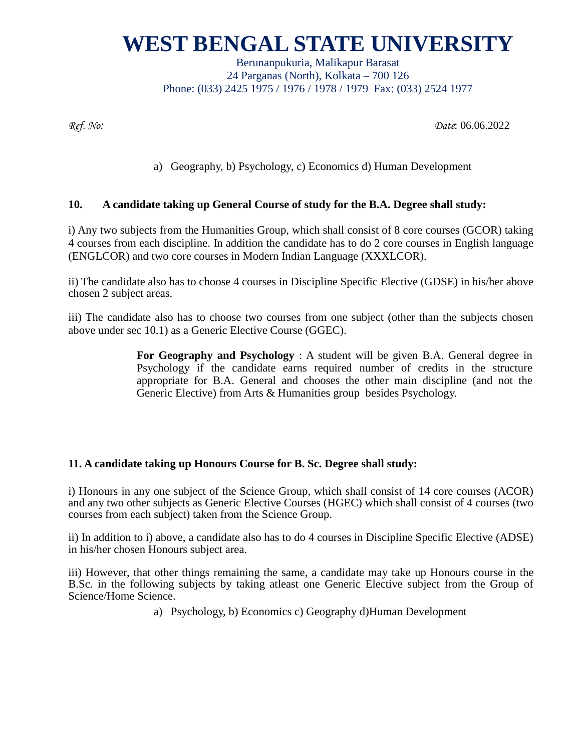Berunanpukuria, Malikapur Barasat 24 Parganas (North), Kolkata – 700 126 Phone: (033) 2425 1975 / 1976 / 1978 / 1979 Fax: (033) 2524 1977

*Ref. No: Date*: 06.06.2022

a) Geography, b) Psychology, c) Economics d) Human Development

### **10. A candidate taking up General Course of study for the B.A. Degree shall study:**

i) Any two subjects from the Humanities Group, which shall consist of 8 core courses (GCOR) taking 4 courses from each discipline. In addition the candidate has to do 2 core courses in English language (ENGLCOR) and two core courses in Modern Indian Language (XXXLCOR).

ii) The candidate also has to choose 4 courses in Discipline Specific Elective (GDSE) in his/her above chosen 2 subject areas.

iii) The candidate also has to choose two courses from one subject (other than the subjects chosen above under sec 10.1) as a Generic Elective Course (GGEC).

> **For Geography and Psychology** : A student will be given B.A. General degree in Psychology if the candidate earns required number of credits in the structure appropriate for B.A. General and chooses the other main discipline (and not the Generic Elective) from Arts & Humanities group besides Psychology.

### **11. A candidate taking up Honours Course for B. Sc. Degree shall study:**

i) Honours in any one subject of the Science Group, which shall consist of 14 core courses (ACOR) and any two other subjects as Generic Elective Courses (HGEC) which shall consist of 4 courses (two courses from each subject) taken from the Science Group.

ii) In addition to i) above, a candidate also has to do 4 courses in Discipline Specific Elective (ADSE) in his/her chosen Honours subject area.

iii) However, that other things remaining the same, a candidate may take up Honours course in the B.Sc. in the following subjects by taking atleast one Generic Elective subject from the Group of Science/Home Science.

a) Psychology, b) Economics c) Geography d)Human Development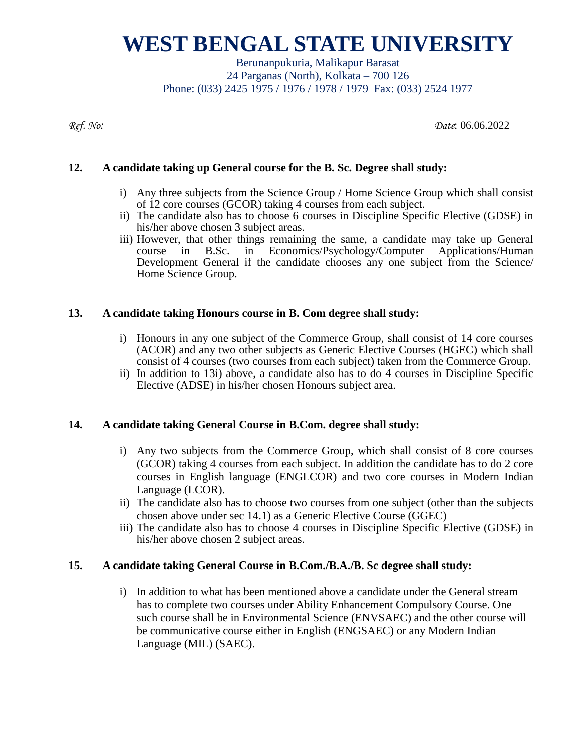Berunanpukuria, Malikapur Barasat 24 Parganas (North), Kolkata – 700 126 Phone: (033) 2425 1975 / 1976 / 1978 / 1979 Fax: (033) 2524 1977

*Ref. No: Date*: 06.06.2022

#### **12. A candidate taking up General course for the B. Sc. Degree shall study:**

- i) Any three subjects from the Science Group / Home Science Group which shall consist of 12 core courses (GCOR) taking 4 courses from each subject.
- ii) The candidate also has to choose 6 courses in Discipline Specific Elective (GDSE) in his/her above chosen 3 subject areas.
- iii) However, that other things remaining the same, a candidate may take up General course in B.Sc. in Economics/Psychology/Computer Applications/Human Development General if the candidate chooses any one subject from the Science/ Home Science Group.

#### **13. A candidate taking Honours course in B. Com degree shall study:**

- i) Honours in any one subject of the Commerce Group, shall consist of 14 core courses (ACOR) and any two other subjects as Generic Elective Courses (HGEC) which shall consist of 4 courses (two courses from each subject) taken from the Commerce Group.
- ii) In addition to 13i) above, a candidate also has to do 4 courses in Discipline Specific Elective (ADSE) in his/her chosen Honours subject area.

### **14. A candidate taking General Course in B.Com. degree shall study:**

- i) Any two subjects from the Commerce Group, which shall consist of 8 core courses (GCOR) taking 4 courses from each subject. In addition the candidate has to do 2 core courses in English language (ENGLCOR) and two core courses in Modern Indian Language (LCOR).
- ii) The candidate also has to choose two courses from one subject (other than the subjects chosen above under sec 14.1) as a Generic Elective Course (GGEC)
- iii) The candidate also has to choose 4 courses in Discipline Specific Elective (GDSE) in his/her above chosen 2 subject areas.

#### **15. A candidate taking General Course in B.Com./B.A./B. Sc degree shall study:**

i) In addition to what has been mentioned above a candidate under the General stream has to complete two courses under Ability Enhancement Compulsory Course. One such course shall be in Environmental Science (ENVSAEC) and the other course will be communicative course either in English (ENGSAEC) or any Modern Indian Language (MIL) (SAEC).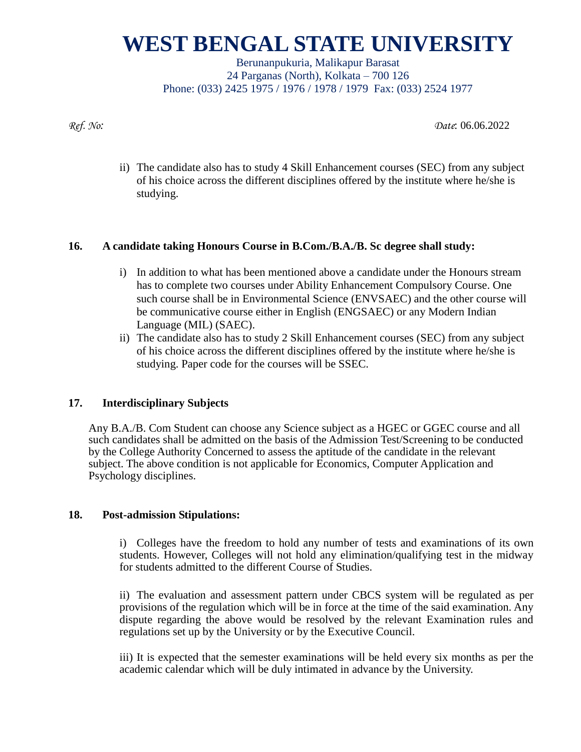Berunanpukuria, Malikapur Barasat 24 Parganas (North), Kolkata – 700 126 Phone: (033) 2425 1975 / 1976 / 1978 / 1979 Fax: (033) 2524 1977

*Ref. No: Date*: 06.06.2022

ii) The candidate also has to study 4 Skill Enhancement courses (SEC) from any subject of his choice across the different disciplines offered by the institute where he/she is studying.

### **16. A candidate taking Honours Course in B.Com./B.A./B. Sc degree shall study:**

- i) In addition to what has been mentioned above a candidate under the Honours stream has to complete two courses under Ability Enhancement Compulsory Course. One such course shall be in Environmental Science (ENVSAEC) and the other course will be communicative course either in English (ENGSAEC) or any Modern Indian Language (MIL) (SAEC).
- ii) The candidate also has to study 2 Skill Enhancement courses (SEC) from any subject of his choice across the different disciplines offered by the institute where he/she is studying. Paper code for the courses will be SSEC.

### **17. Interdisciplinary Subjects**

Any B.A./B. Com Student can choose any Science subject as a HGEC or GGEC course and all such candidates shall be admitted on the basis of the Admission Test/Screening to be conducted by the College Authority Concerned to assess the aptitude of the candidate in the relevant subject. The above condition is not applicable for Economics, Computer Application and Psychology disciplines.

#### **18. Post-admission Stipulations:**

i) Colleges have the freedom to hold any number of tests and examinations of its own students. However, Colleges will not hold any elimination/qualifying test in the midway for students admitted to the different Course of Studies.

ii) The evaluation and assessment pattern under CBCS system will be regulated as per provisions of the regulation which will be in force at the time of the said examination. Any dispute regarding the above would be resolved by the relevant Examination rules and regulations set up by the University or by the Executive Council.

iii) It is expected that the semester examinations will be held every six months as per the academic calendar which will be duly intimated in advance by the University.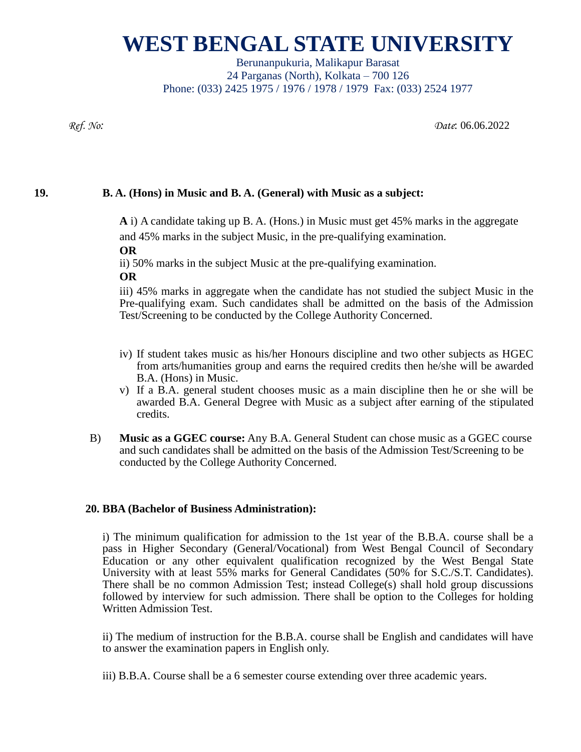Berunanpukuria, Malikapur Barasat 24 Parganas (North), Kolkata – 700 126 Phone: (033) 2425 1975 / 1976 / 1978 / 1979 Fax: (033) 2524 1977

*Ref. No: Date*: 06.06.2022

### **19. B. A. (Hons) in Music and B. A. (General) with Music as a subject:**

**A** i) A candidate taking up B. A. (Hons.) in Music must get 45% marks in the aggregate and 45% marks in the subject Music, in the pre-qualifying examination.

**OR**

ii) 50% marks in the subject Music at the pre-qualifying examination.

**OR**

iii) 45% marks in aggregate when the candidate has not studied the subject Music in the Pre-qualifying exam. Such candidates shall be admitted on the basis of the Admission Test/Screening to be conducted by the College Authority Concerned.

- iv) If student takes music as his/her Honours discipline and two other subjects as HGEC from arts/humanities group and earns the required credits then he/she will be awarded B.A. (Hons) in Music.
- v) If a B.A. general student chooses music as a main discipline then he or she will be awarded B.A. General Degree with Music as a subject after earning of the stipulated credits.
- B) **Music as a GGEC course:** Any B.A. General Student can chose music as a GGEC course and such candidates shall be admitted on the basis of the Admission Test/Screening to be conducted by the College Authority Concerned.

### **20. BBA (Bachelor of Business Administration):**

i) The minimum qualification for admission to the 1st year of the B.B.A. course shall be a pass in Higher Secondary (General/Vocational) from West Bengal Council of Secondary Education or any other equivalent qualification recognized by the West Bengal State University with at least 55% marks for General Candidates (50% for S.C./S.T. Candidates). There shall be no common Admission Test; instead College(s) shall hold group discussions followed by interview for such admission. There shall be option to the Colleges for holding Written Admission Test.

ii) The medium of instruction for the B.B.A. course shall be English and candidates will have to answer the examination papers in English only.

iii) B.B.A. Course shall be a 6 semester course extending over three academic years.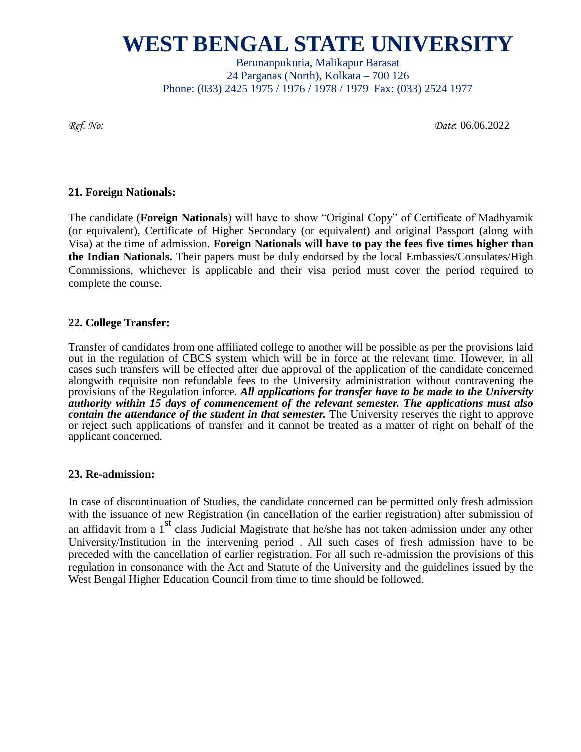Berunanpukuria, Malikapur Barasat 24 Parganas (North), Kolkata – 700 126 Phone: (033) 2425 1975 / 1976 / 1978 / 1979 Fax: (033) 2524 1977

*Ref. No: Date*: 06.06.2022

#### **21. Foreign Nationals:**

The candidate (**Foreign Nationals**) will have to show "Original Copy" of Certificate of Madhyamik (or equivalent), Certificate of Higher Secondary (or equivalent) and original Passport (along with Visa) at the time of admission. **Foreign Nationals will have to pay the fees five times higher than the Indian Nationals.** Their papers must be duly endorsed by the local Embassies/Consulates/High Commissions, whichever is applicable and their visa period must cover the period required to complete the course.

#### **22. College Transfer:**

Transfer of candidates from one affiliated college to another will be possible as per the provisions laid out in the regulation of CBCS system which will be in force at the relevant time. However, in all cases such transfers will be effected after due approval of the application of the candidate concerned alongwith requisite non refundable fees to the University administration without contravening the provisions of the Regulation inforce. *All applications for transfer have to be made to the University authority within 15 days of commencement of the relevant semester. The applications must also contain the attendance of the student in that semester.* The University reserves the right to approve or reject such applications of transfer and it cannot be treated as a matter of right on behalf of the applicant concerned.

#### **23. Re-admission:**

In case of discontinuation of Studies, the candidate concerned can be permitted only fresh admission with the issuance of new Registration (in cancellation of the earlier registration) after submission of an affidavit from a 1<sup>st</sup> class Judicial Magistrate that he/she has not taken admission under any other University/Institution in the intervening period . All such cases of fresh admission have to be preceded with the cancellation of earlier registration. For all such re-admission the provisions of this regulation in consonance with the Act and Statute of the University and the guidelines issued by the West Bengal Higher Education Council from time to time should be followed.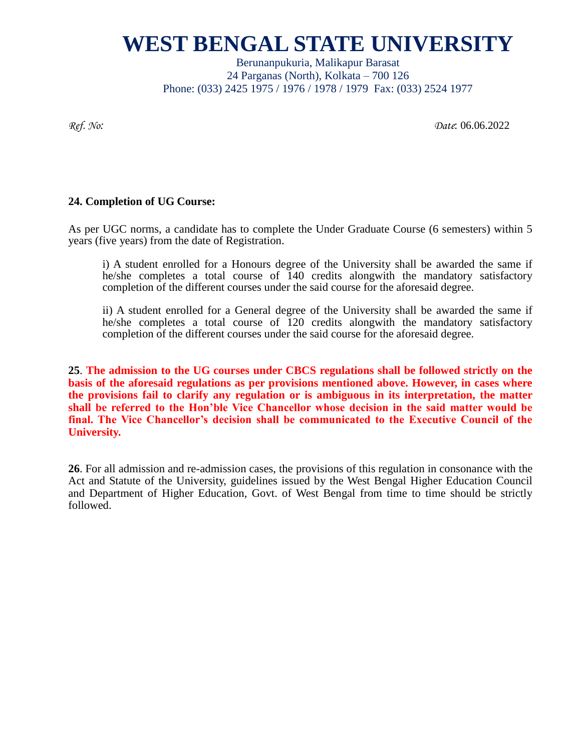Berunanpukuria, Malikapur Barasat 24 Parganas (North), Kolkata – 700 126 Phone: (033) 2425 1975 / 1976 / 1978 / 1979 Fax: (033) 2524 1977

*Ref. No: Date*: 06.06.2022

#### **24. Completion of UG Course:**

As per UGC norms, a candidate has to complete the Under Graduate Course (6 semesters) within 5 years (five years) from the date of Registration.

i) A student enrolled for a Honours degree of the University shall be awarded the same if he/she completes a total course of 140 credits alongwith the mandatory satisfactory completion of the different courses under the said course for the aforesaid degree.

ii) A student enrolled for a General degree of the University shall be awarded the same if he/she completes a total course of 120 credits alongwith the mandatory satisfactory completion of the different courses under the said course for the aforesaid degree.

**25**. **The admission to the UG courses under CBCS regulations shall be followed strictly on the basis of the aforesaid regulations as per provisions mentioned above. However, in cases where the provisions fail to clarify any regulation or is ambiguous in its interpretation, the matter shall be referred to the Hon'ble Vice Chancellor whose decision in the said matter would be final. The Vice Chancellor's decision shall be communicated to the Executive Council of the University.** 

**26**. For all admission and re-admission cases, the provisions of this regulation in consonance with the Act and Statute of the University, guidelines issued by the West Bengal Higher Education Council and Department of Higher Education, Govt. of West Bengal from time to time should be strictly followed.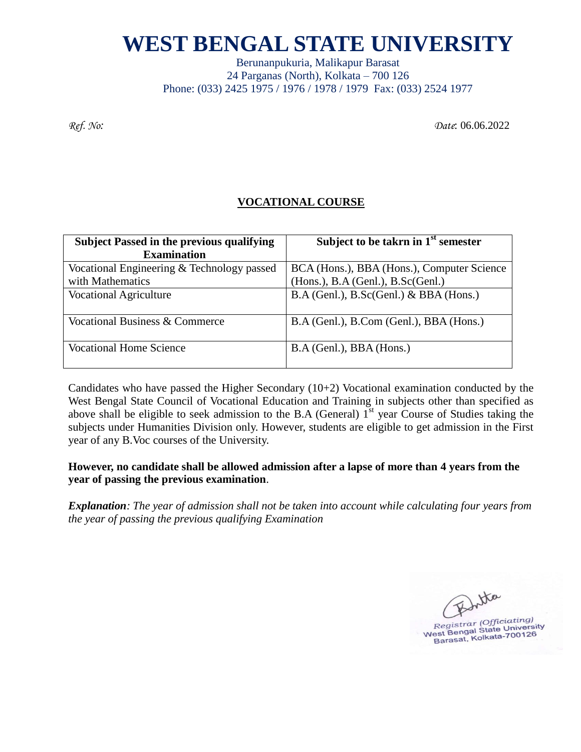Berunanpukuria, Malikapur Barasat 24 Parganas (North), Kolkata – 700 126 Phone: (033) 2425 1975 / 1976 / 1978 / 1979 Fax: (033) 2524 1977

*Ref. No: Date*: 06.06.2022

### **VOCATIONAL COURSE**

| <b>Subject Passed in the previous qualifying</b> | Subject to be taken in $1st$ semester       |
|--------------------------------------------------|---------------------------------------------|
| <b>Examination</b>                               |                                             |
| Vocational Engineering & Technology passed       | BCA (Hons.), BBA (Hons.), Computer Science  |
| with Mathematics                                 | (Hons.), B.A (Genl.), B.Sc(Genl.)           |
| <b>Vocational Agriculture</b>                    | $B.A$ (Genl.), $B.Sc(Genl.) \& BBA$ (Hons.) |
| Vocational Business & Commerce                   | B.A (Genl.), B.Com (Genl.), BBA (Hons.)     |
| Vocational Home Science                          | B.A (Genl.), BBA (Hons.)                    |

Candidates who have passed the Higher Secondary (10+2) Vocational examination conducted by the West Bengal State Council of Vocational Education and Training in subjects other than specified as above shall be eligible to seek admission to the B.A (General)  $1<sup>st</sup>$  year Course of Studies taking the subjects under Humanities Division only. However, students are eligible to get admission in the First year of any B.Voc courses of the University.

### **However, no candidate shall be allowed admission after a lapse of more than 4 years from the year of passing the previous examination**.

*Explanation: The year of admission shall not be taken into account while calculating four years from the year of passing the previous qualifying Examination*

tha Registrar (Officiating)<br>
Registrar (Officiating)<br>
West Bengsat, Kolkata-700126 est Bengal State University<br>Barasat, Kolkata-700126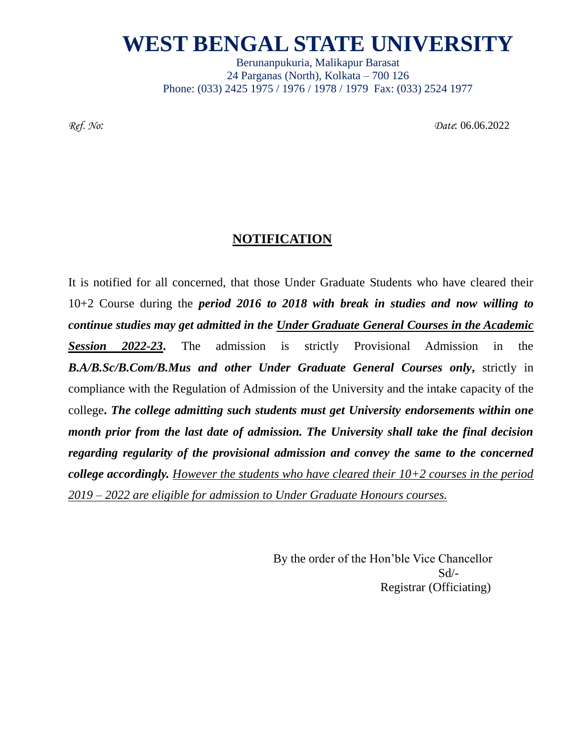Berunanpukuria, Malikapur Barasat 24 Parganas (North), Kolkata – 700 126 Phone: (033) 2425 1975 / 1976 / 1978 / 1979 Fax: (033) 2524 1977

*Ref. No: Date*: 06.06.2022

### **NOTIFICATION**

It is notified for all concerned, that those Under Graduate Students who have cleared their 10+2 Course during the *period 2016 to 2018 with break in studies and now willing to continue studies may get admitted in the Under Graduate General Courses in the Academic Session 2022-23***.** The admission is strictly Provisional Admission in the *B.A/B.Sc/B.Com/B.Mus and other Under Graduate General Courses only***,** strictly in compliance with the Regulation of Admission of the University and the intake capacity of the college**.** *The college admitting such students must get University endorsements within one month prior from the last date of admission. The University shall take the final decision regarding regularity of the provisional admission and convey the same to the concerned college accordingly. However the students who have cleared their 10+2 courses in the period 2019 – 2022 are eligible for admission to Under Graduate Honours courses.*

> By the order of the Hon'ble Vice Chancellor Sd/- Registrar (Officiating)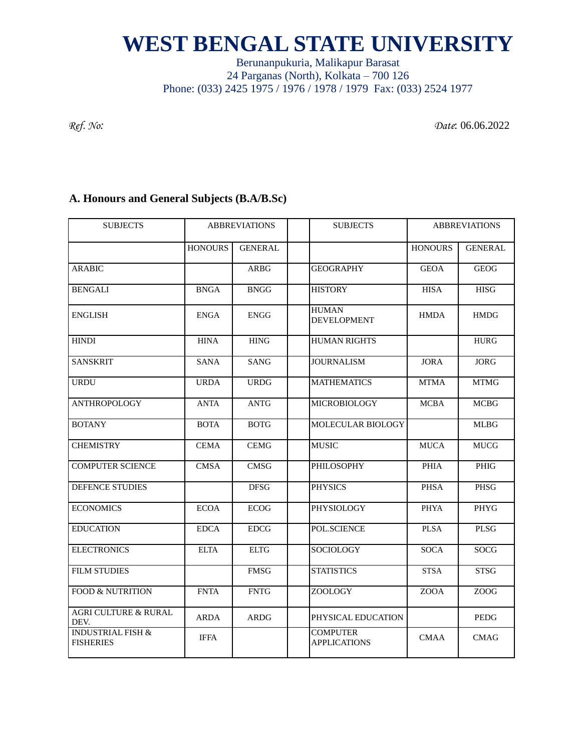### Berunanpukuria, Malikapur Barasat 24 Parganas (North), Kolkata – 700 126 Phone: (033) 2425 1975 / 1976 / 1978 / 1979 Fax: (033) 2524 1977

*Ref. No: Date*: 06.06.2022

### **A. Honours and General Subjects (B.A/B.Sc)**

| <b>SUBJECTS</b>                                  | <b>ABBREVIATIONS</b> |                | <b>SUBJECTS</b>                        | <b>ABBREVIATIONS</b> |                |
|--------------------------------------------------|----------------------|----------------|----------------------------------------|----------------------|----------------|
|                                                  | <b>HONOURS</b>       | <b>GENERAL</b> |                                        | <b>HONOURS</b>       | <b>GENERAL</b> |
| <b>ARABIC</b>                                    |                      | <b>ARBG</b>    | <b>GEOGRAPHY</b>                       | <b>GEOA</b>          | <b>GEOG</b>    |
| <b>BENGALI</b>                                   | <b>BNGA</b>          | <b>BNGG</b>    | <b>HISTORY</b>                         | <b>HISA</b>          | <b>HISG</b>    |
| <b>ENGLISH</b>                                   | <b>ENGA</b>          | <b>ENGG</b>    | <b>HUMAN</b><br><b>DEVELOPMENT</b>     | <b>HMDA</b>          | <b>HMDG</b>    |
| <b>HINDI</b>                                     | <b>HINA</b>          | <b>HING</b>    | <b>HUMAN RIGHTS</b>                    |                      | <b>HURG</b>    |
| <b>SANSKRIT</b>                                  | <b>SANA</b>          | <b>SANG</b>    | <b>JOURNALISM</b>                      | <b>JORA</b>          | JORG           |
| <b>URDU</b>                                      | <b>URDA</b>          | <b>URDG</b>    | <b>MATHEMATICS</b>                     | <b>MTMA</b>          | <b>MTMG</b>    |
| <b>ANTHROPOLOGY</b>                              | <b>ANTA</b>          | <b>ANTG</b>    | MICROBIOLOGY                           | <b>MCBA</b>          | <b>MCBG</b>    |
| <b>BOTANY</b>                                    | <b>BOTA</b>          | <b>BOTG</b>    | MOLECULAR BIOLOGY                      |                      | <b>MLBG</b>    |
| <b>CHEMISTRY</b>                                 | <b>CEMA</b>          | <b>CEMG</b>    | <b>MUSIC</b>                           | <b>MUCA</b>          | <b>MUCG</b>    |
| <b>COMPUTER SCIENCE</b>                          | <b>CMSA</b>          | <b>CMSG</b>    | PHILOSOPHY                             | <b>PHIA</b>          | PHIG           |
| DEFENCE STUDIES                                  |                      | <b>DFSG</b>    | <b>PHYSICS</b>                         | <b>PHSA</b>          | PHSG           |
| <b>ECONOMICS</b>                                 | <b>ECOA</b>          | <b>ECOG</b>    | PHYSIOLOGY                             | <b>PHYA</b>          | PHYG           |
| <b>EDUCATION</b>                                 | <b>EDCA</b>          | <b>EDCG</b>    | POL.SCIENCE                            | <b>PLSA</b>          | <b>PLSG</b>    |
| <b>ELECTRONICS</b>                               | <b>ELTA</b>          | <b>ELTG</b>    | SOCIOLOGY                              | <b>SOCA</b>          | SOCG           |
| <b>FILM STUDIES</b>                              |                      | <b>FMSG</b>    | <b>STATISTICS</b>                      | <b>STSA</b>          | <b>STSG</b>    |
| <b>FOOD &amp; NUTRITION</b>                      | <b>FNTA</b>          | <b>FNTG</b>    | ZOOLOGY                                | <b>ZOOA</b>          | <b>ZOOG</b>    |
| <b>AGRI CULTURE &amp; RURAL</b><br>DEV.          | <b>ARDA</b>          | <b>ARDG</b>    | PHYSICAL EDUCATION                     |                      | PEDG           |
| <b>INDUSTRIAL FISH &amp;</b><br><b>FISHERIES</b> | <b>IFFA</b>          |                | <b>COMPUTER</b><br><b>APPLICATIONS</b> | <b>CMAA</b>          | <b>CMAG</b>    |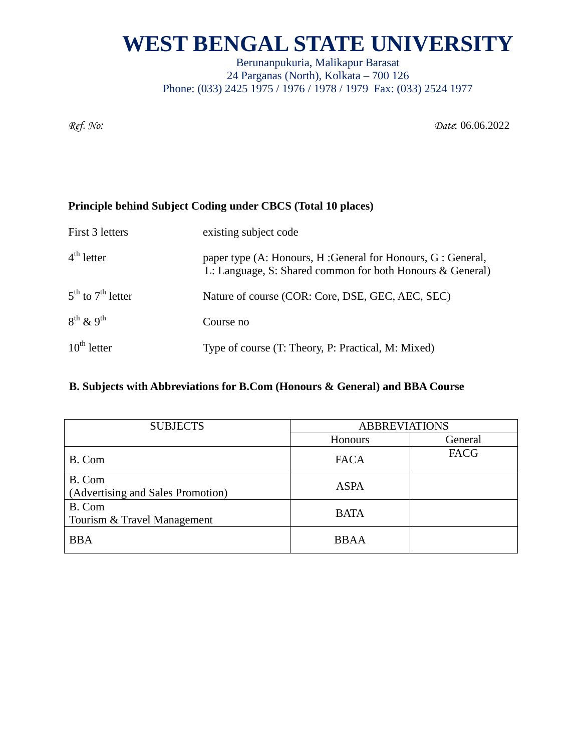Berunanpukuria, Malikapur Barasat 24 Parganas (North), Kolkata – 700 126 Phone: (033) 2425 1975 / 1976 / 1978 / 1979 Fax: (033) 2524 1977

*Ref. No: Date*: 06.06.2022

### **Principle behind Subject Coding under CBCS (Total 10 places)**

| First 3 letters             | existing subject code                                                                                                    |
|-----------------------------|--------------------------------------------------------------------------------------------------------------------------|
| $4th$ letter                | paper type (A: Honours, H: General for Honours, G: General,<br>L: Language, S: Shared common for both Honours & General) |
| $5^{th}$ to $7^{th}$ letter | Nature of course (COR: Core, DSE, GEC, AEC, SEC)                                                                         |
| $8^{th}$ & 9 <sup>th</sup>  | Course no                                                                                                                |
| $10^{th}$ letter            | Type of course (T: Theory, P: Practical, M: Mixed)                                                                       |

### **B. Subjects with Abbreviations for B.Com (Honours & General) and BBA Course**

| <b>SUBJECTS</b>                             | <b>ABBREVIATIONS</b> |             |  |
|---------------------------------------------|----------------------|-------------|--|
|                                             | <b>Honours</b>       | General     |  |
| B. Com                                      | <b>FACA</b>          | <b>FACG</b> |  |
| B. Com<br>(Advertising and Sales Promotion) | <b>ASPA</b>          |             |  |
| B. Com<br>Tourism & Travel Management       | <b>BATA</b>          |             |  |
| <b>BBA</b>                                  | <b>BBAA</b>          |             |  |